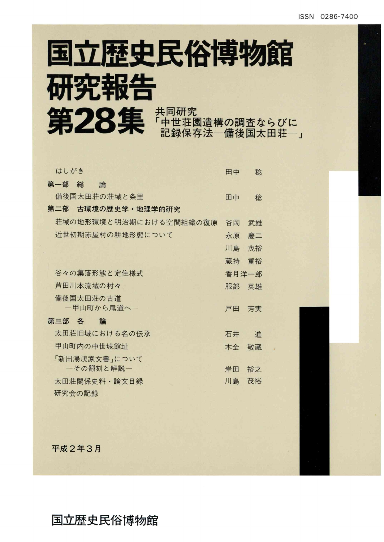# 国立歴史民俗博物館 研究報告 第28集 神世莊園遺構の調査ならびに

| 第一部 総<br>論<br>備後国太田荘の荘域と条里<br>稔<br>田中<br>第二部<br>古環境の歴史学・地理学的研究<br>荘域の地形環境と明治期における空間組織の復原<br>谷岡<br>武雄 |
|------------------------------------------------------------------------------------------------------|
|                                                                                                      |
|                                                                                                      |
|                                                                                                      |
|                                                                                                      |
| 近世初期赤屋村の耕地形態について<br>永原<br>慶二                                                                         |
| 茂裕<br>川島                                                                                             |
| 蔵持<br>重裕                                                                                             |
| 谷々の集落形態と定住様式<br>香月洋一郎                                                                                |
| 芦田川本流域の村々<br>服部<br>英雄                                                                                |
| 備後国太田荘の古道                                                                                            |
| 一甲山町から尾道へ-<br>戸田<br>芳実                                                                               |
| 第三部 各<br>論                                                                                           |
| 太田荘旧域における名の伝承<br>石井<br>谁                                                                             |
| 甲山町内の中世城館址<br>敬蔵<br>木全                                                                               |
| 「新出湯浅家文書」について                                                                                        |
| 一その翻刻と解説–<br>岸田<br>裕之                                                                                |
| 茂裕<br>川島<br>太田荘関係史料・論文目録                                                                             |
| 研究会の記録                                                                                               |

平成2年3月

### 国立歴史民俗博物館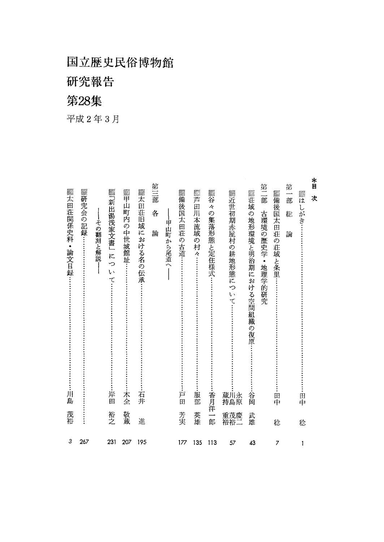研究報告

## 第28集

平成2年3月

| *<br>目<br>第二部<br>第一部<br>鑽芦<br>▓<br>羅荘域<br>▓近世初期赤屋村の耕地形態につ<br>▓備後国太田荘<br>W)<br>It<br>次<br>$\overline{\mathbb{H}}$<br>Ą<br>しがき<br>川<br>の集落形態と定住様式<br>古環境の歴史学<br>の地形環境と明治期における空間組織<br>総<br>:本流域<br>論<br>の<br>の村々<br>荘域と条里:<br>$\bullet$<br>地理学的研究<br>いて…<br>の復原・<br>服部<br>香月洋<br>蔵川永<br>谷岡<br>田中<br>田中<br>持島原 | 英雄<br>重茂慶<br>武雄<br>郎<br>裕裕二<br>稔<br>稔 | 135<br>113<br>57<br>43<br>7<br>1 |
|------------------------------------------------------------------------------------------------------------------------------------------------------------------------------------------------------------------------------------------------------------------------------------------------------------|---------------------------------------|----------------------------------|
|                                                                                                                                                                                                                                                                                                            |                                       |                                  |
|                                                                                                                                                                                                                                                                                                            |                                       |                                  |
|                                                                                                                                                                                                                                                                                                            |                                       |                                  |
|                                                                                                                                                                                                                                                                                                            |                                       |                                  |
| ▓▓<br>後国太田荘の古道….<br>甲<br>山町から尾道<br>戸田                                                                                                                                                                                                                                                                      | 芳実                                    | 177                              |
| 第三部<br>各<br>論                                                                                                                                                                                                                                                                                              |                                       |                                  |
| ▓太田荘旧域における名の伝承<br>石井                                                                                                                                                                                                                                                                                       | 進                                     | 195                              |
| ▓甲山町内の中世城館址<br>木全                                                                                                                                                                                                                                                                                          | 敬蔵                                    | 207                              |
| ▓『新出湯浅家文書』<br>にっ<br>ţ١<br>$\tau$<br>岸田                                                                                                                                                                                                                                                                     | 裕之                                    | 231                              |
| ▓研究会の記録…<br>その翻刻と解説                                                                                                                                                                                                                                                                                        |                                       | 267                              |
| <b>▓太田荘関係史料</b><br>•論文目録<br>川島                                                                                                                                                                                                                                                                             | 茂裕                                    | 3                                |

 $\frac{*}{\mathbb{H}}$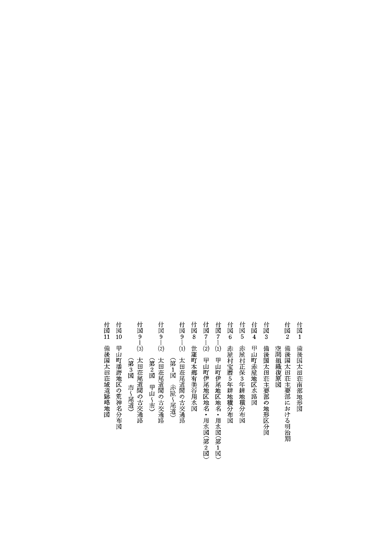付図3 備後国太田荘主要部の地形区分図 付図11 備後国太田荘域遺跡略地図 付図10 甲山町播磨地区の荒神名分布図 付図6 赤屋村宝暦5年耕地積分布図 付図4 甲山町赤屋地区水路図 付図2 備後国太田荘主要部における明治期 付図1 備後国太田荘南部地形図 付図9ー⑶ 太田荘尾道間の古交通路 付図9-2 太田荘尾道間の古交通路 付図9--(1) 太田荘尾道間の古交通路 付図8 世羅町本郷有美谷用水図 付図7--2 甲山町伊尾地区地名・用水図(第2図) 付図7-13 甲山町伊尾地区地名・用水図(第1図) 付図5 赤屋村正保3年耕地積分布図 付図 9――(1) 空間組織復原図 (第3図市〜尾道) (第2図 甲山〜市) (第1図)赤屋〜尾道) (第3図 市〜尾道) (第2図 甲山~市) (第1図 赤屋~尾道) 甲山町伊尾地区地名・用水図(第2図) 甲山町伊尾地区地名・用水図(第1図) 保3年耕地積分布図 5年耕地積分布図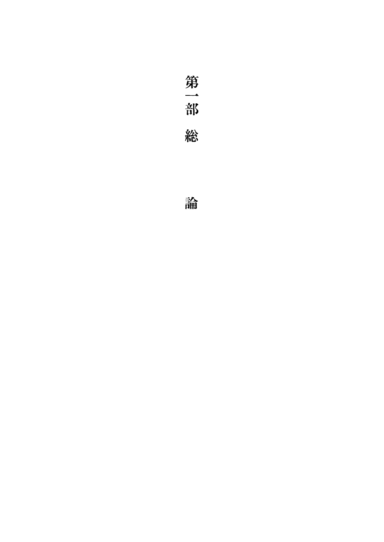第一部 総

論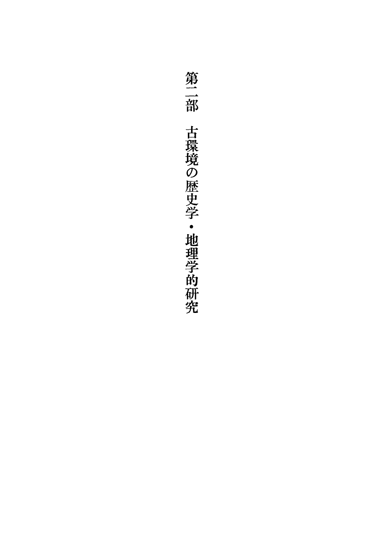第二部 古環境の歴史学・地理学的研究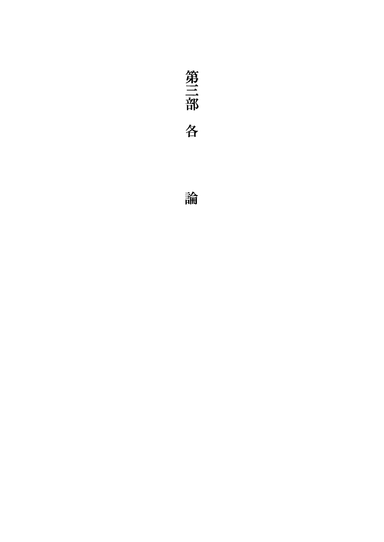

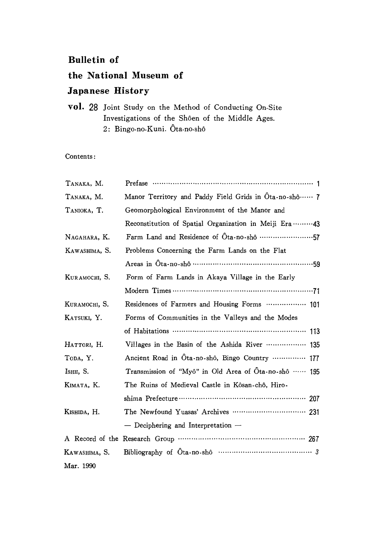#### Bulletin of

### the National Museum of

#### Japanese History

vol. 28 Joint Study on the Method of Conducting On-Site Investigations of the Shôen of the Middle Ages. 2: Bingo-no-Kuni. Ôta-no-shô

#### Contents:

| Тамака, М.    |                                                        |
|---------------|--------------------------------------------------------|
| TANAKA, M.    | Manor Territory and Paddy Field Grids in Ota-no-shô  7 |
| TANIOKA, T.   | Geomorphological Environment of the Manor and          |
|               | Reconstitution of Spatial Organization in Meiji Era 43 |
| NAGAHARA, K.  | Farm Land and Residence of Ota-no-shô 57               |
| KAWASHIMA, S. | Problems Concerning the Farm Lands on the Flat         |
|               | Areas in Ota-no-shô ……………………………………………59                |
| KURAMOCHI, S. | Form of Farm Lands in Akaya Village in the Early       |
|               |                                                        |
| KURAMOCHI, S. | Residences of Farmers and Housing Forms  101           |
| KATSUKI, Y.   | Forms of Communities in the Valleys and the Modes      |
|               |                                                        |
| HATTORI, H.   | Villages in the Basin of the Ashida River  135         |
| TODA, Y.      | Ancient Road in Ota-no-shô, Bingo Country  177         |
| Ishii, S.     | Transmission of "Myô" in Old Area of Ōta-no-shô …… 195 |
| Кімата, К.    | The Ruins of Medieval Castle in Kôsan-chô, Hiro-       |
|               |                                                        |
| Kishida, H.   |                                                        |
|               | - Deciphering and Interpretation -                     |
|               |                                                        |
| Kawashima, S. |                                                        |
| Mar. 1990     |                                                        |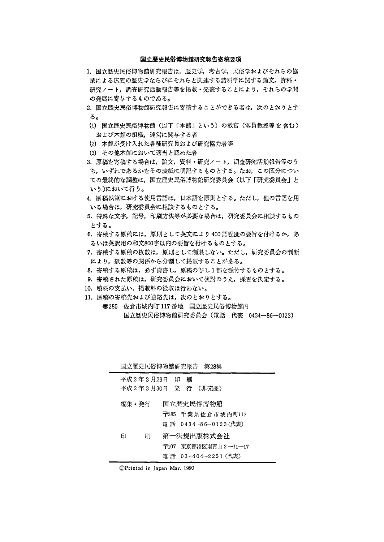#### 国立歴史民俗博物館研究報告寄稿要項

- 1.国立歴史民俗博物館研究報告は,歴史学,考古学,民俗学およびそれらの協 業による広義の歴史学ならびにそれらと関連する諸科学に関する論文,資料・ 研究ノー一ト,調査研究活動報告等を掲載・発表することにより,それらの学問 の発展に寄与するものである。
- 2. 国立歴史民俗博物館研究報告に寄稿することができる者は、次のとおりとす る。
- (1)国立歴史民俗博物館(以下「本館」という)の教官(客員教授等を含む) および本館の組織,運営に関与する者
- (2)本館が受け入れた各種研究員および研究協力老等
- (3)その他本館において適当と認めた者
- 3.原稿を寄稿する場合は,論文,資料・研究ノート,調査研究活動報告等のう ち,いずれであるかをその表紙に明記するものとする。なお,この区分につい ての最終的な調整は,国立歴史民俗博物館研究委員会(以下「研究委員会」と いう、)において行う。
- 4. 原稿執筆における使用言語は、日本語を原則とする。ただし、他の言語を用 いる場合は,研究委員会に相談するものとする。
- 5.特殊な文字,記号,印刷方法等が必要な場合は,研究委員会に相談するもの とする。
- 6. 寄稿する原稿には、原則として英文により400語程度の要旨を付けるか、あ るいは英訳用の和文800字以内の要旨を付けるものとする。
- 7.寄稿する原稿の枚数は,原則として制限しない。ただし,研究委員会の判断 により,紙数等の関係から分割して掲載することがある。
- 8.寄稿する原稿は,必ず清書し,原稿の写し1部を添付するものとする。
- 9.寄稿された原稿は,研究委員会において検討のうえ,採否を決定する。
- 10.稿料の支払い,掲載料の徴収は行わない。
- 11.原稿の寄稿先および連絡先は,次のとおりとする。
	- ⑬285佐倉市城内町117番地 国立歴史民俗博物館内 国立歴史民俗博物館研究委員会(電話 代表 0434-86-0123)

|             |   |   | 国立歴史民俗博物館研究報告 第28集              |  |
|-------------|---|---|---------------------------------|--|
| 平成2年3月23日 印 |   | 刷 |                                 |  |
|             |   |   | 平成2年3月30日 発 行 (非売品)             |  |
| 編集・発行       |   |   | 国立歴史民俗博物館                       |  |
|             |   |   | $\overline{+}$ 285 千葉県佐倉市城内町117 |  |
|             |   |   | 電 話 0434―86―0123(代表)            |  |
| 印           | 刷 |   | 第一法規出版株式会社                      |  |
|             |   |   | 〒107 東京都港区南青山2―11―17            |  |
|             |   |   | 電 話 03-404-2251 (代表)            |  |

◎Printed in Japan Mar.1990